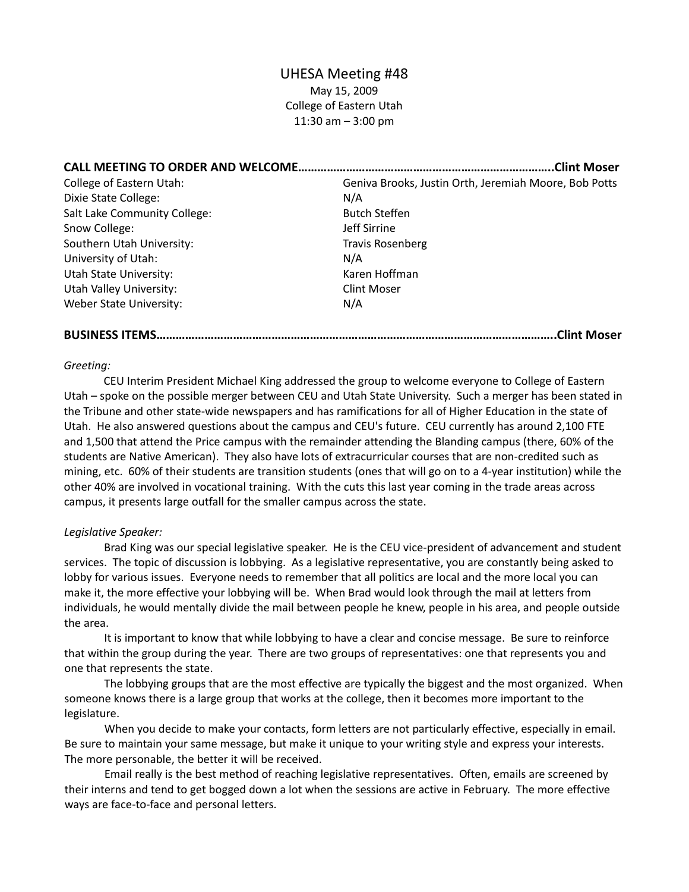# UHESA Meeting #48

May 15, 2009 College of Eastern Utah 11:30 am – 3:00 pm

| <b>CALL MEETING TO ORDER AND WELCOME</b> | .Clint Moser                                          |
|------------------------------------------|-------------------------------------------------------|
| <b>College of Eastern Utah:</b>          | Geniva Brooks, Justin Orth, Jeremiah Moore, Bob Potts |
| Dixie State College:                     | N/A                                                   |
| Salt Lake Community College:             | <b>Butch Steffen</b>                                  |
| Snow College:                            | Jeff Sirrine                                          |
| Southern Utah University:                | <b>Travis Rosenberg</b>                               |
| University of Utah:                      | N/A                                                   |
| Utah State University:                   | Karen Hoffman                                         |
| Utah Valley University:                  | <b>Clint Moser</b>                                    |
| Weber State University:                  | N/A                                                   |

**BUSINESS ITEMS……………………………………………………………………………………………………………..Clint Moser**

#### *Greeting:*

CEU Interim President Michael King addressed the group to welcome everyone to College of Eastern Utah – spoke on the possible merger between CEU and Utah State University. Such a merger has been stated in the Tribune and other state‐wide newspapers and has ramifications for all of Higher Education in the state of Utah. He also answered questions about the campus and CEU's future. CEU currently has around 2,100 FTE and 1,500 that attend the Price campus with the remainder attending the Blanding campus (there, 60% of the students are Native American). They also have lots of extracurricular courses that are non‐credited such as mining, etc. 60% of their students are transition students (ones that will go on to a 4‐year institution) while the other 40% are involved in vocational training. With the cuts this last year coming in the trade areas across campus, it presents large outfall for the smaller campus across the state.

# *Legislative Speaker:*

Brad King was our special legislative speaker. He is the CEU vice‐president of advancement and student services. The topic of discussion is lobbying. As a legislative representative, you are constantly being asked to lobby for various issues. Everyone needs to remember that all politics are local and the more local you can make it, the more effective your lobbying will be. When Brad would look through the mail at letters from individuals, he would mentally divide the mail between people he knew, people in his area, and people outside the area.

It is important to know that while lobbying to have a clear and concise message. Be sure to reinforce that within the group during the year. There are two groups of representatives: one that represents you and one that represents the state.

The lobbying groups that are the most effective are typically the biggest and the most organized. When someone knows there is a large group that works at the college, then it becomes more important to the legislature.

When you decide to make your contacts, form letters are not particularly effective, especially in email. Be sure to maintain your same message, but make it unique to your writing style and express your interests. The more personable, the better it will be received.

Email really is the best method of reaching legislative representatives. Often, emails are screened by their interns and tend to get bogged down a lot when the sessions are active in February. The more effective ways are face-to-face and personal letters.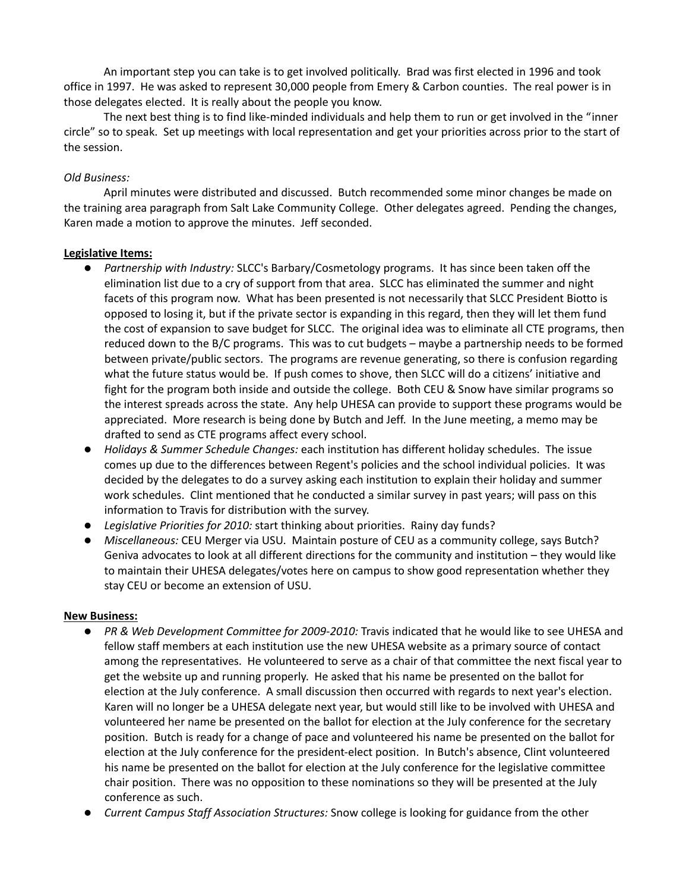An important step you can take is to get involved politically. Brad was first elected in 1996 and took office in 1997. He was asked to represent 30,000 people from Emery & Carbon counties. The real power is in those delegates elected. It is really about the people you know.

The next best thing is to find like-minded individuals and help them to run or get involved in the "inner circle" so to speak. Set up meetings with local representation and get your priorities across prior to the start of the session.

# *Old Business:*

April minutes were distributed and discussed. Butch recommended some minor changes be made on the training area paragraph from Salt Lake Community College. Other delegates agreed. Pending the changes, Karen made a motion to approve the minutes. Jeff seconded.

# **Legislative Items:**

- **•** Partnership with *Industry:* SLCC's Barbary/Cosmetology programs. It has since been taken off the elimination list due to a cry of support from that area. SLCC has eliminated the summer and night facets of this program now. What has been presented is not necessarily that SLCC President Biotto is opposed to losing it, but if the private sector is expanding in this regard, then they will let them fund the cost of expansion to save budget for SLCC. The original idea was to eliminate all CTE programs, then reduced down to the B/C programs. This was to cut budgets – maybe a partnership needs to be formed between private/public sectors. The programs are revenue generating, so there is confusion regarding what the future status would be. If push comes to shove, then SLCC will do a citizens' initiative and fight for the program both inside and outside the college. Both CEU & Snow have similar programs so the interest spreads across the state. Any help UHESA can provide to support these programs would be appreciated. More research is being done by Butch and Jeff. In the June meeting, a memo may be drafted to send as CTE programs affect every school.
- z *Holidays & Summer Schedule Changes:* each institution has different holiday schedules. The issue comes up due to the differences between Regent's policies and the school individual policies. It was decided by the delegates to do a survey asking each institution to explain their holiday and summer work schedules. Clint mentioned that he conducted a similar survey in past years; will pass on this information to Travis for distribution with the survey.
- z *Legislative Priorities for 2010:* start thinking about priorities. Rainy day funds?
- **•** Miscellaneous: CEU Merger via USU. Maintain posture of CEU as a community college, says Butch? Geniva advocates to look at all different directions for the community and institution – they would like to maintain their UHESA delegates/votes here on campus to show good representation whether they stay CEU or become an extension of USU.

# **New Business:**

- PR & Web Development Committee for 2009-2010: Travis indicated that he would like to see UHESA and fellow staff members at each institution use the new UHESA website as a primary source of contact among the representatives. He volunteered to serve as a chair of that committee the next fiscal year to get the website up and running properly. He asked that his name be presented on the ballot for election at the July conference. A small discussion then occurred with regards to next year's election. Karen will no longer be a UHESA delegate next year, but would still like to be involved with UHESA and volunteered her name be presented on the ballot for election at the July conference for the secretary position. Butch is ready for a change of pace and volunteered his name be presented on the ballot for election at the July conference for the president‐elect position. In Butch's absence, Clint volunteered his name be presented on the ballot for election at the July conference for the legislative committee chair position. There was no opposition to these nominations so they will be presented at the July conference as such.
- z *Current Campus Staff Association Structures:* Snow college is looking for guidance from the other